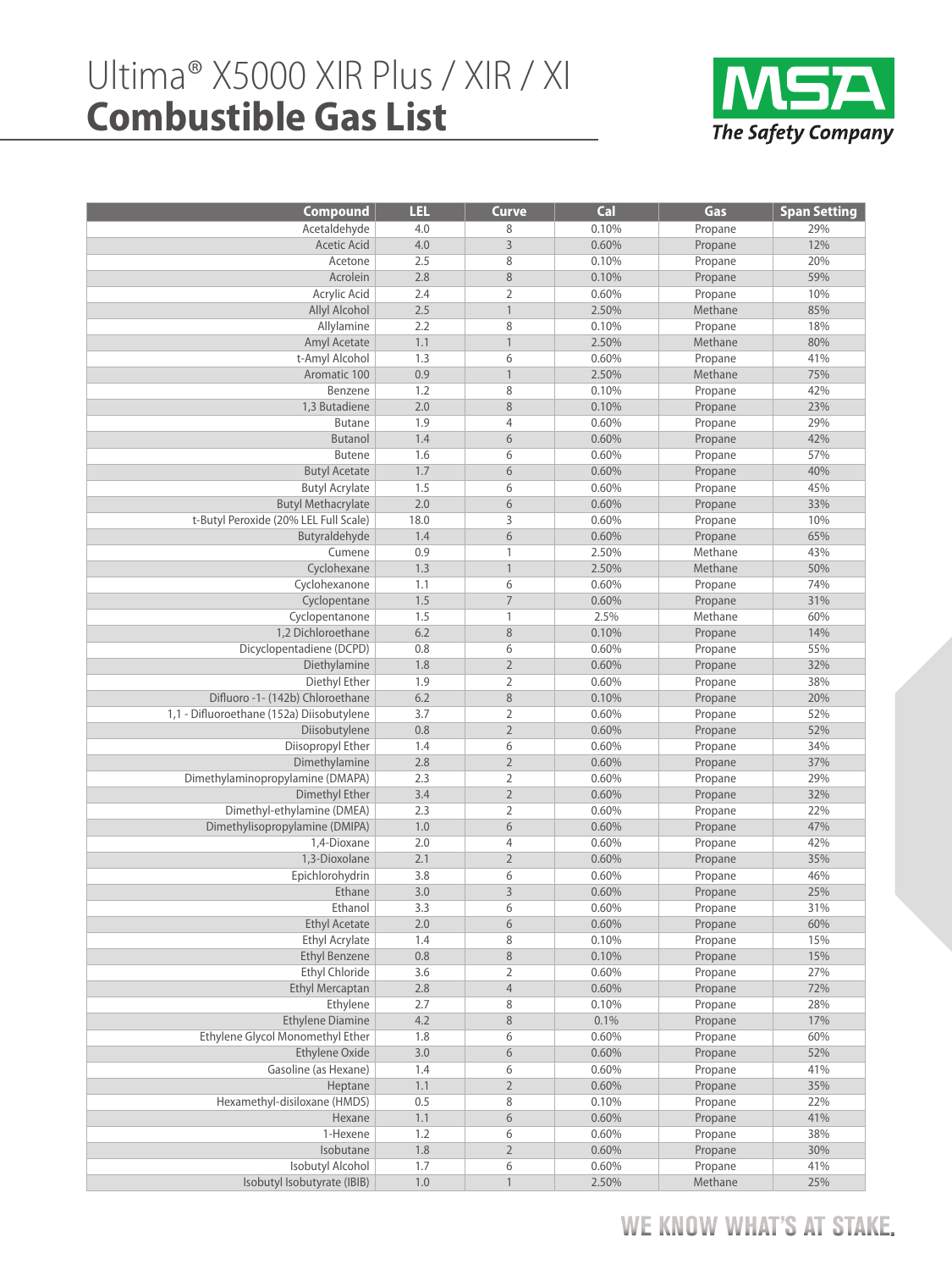## Ultima® X5000 XIR Plus / XIR / XI **Combustible Gas List**



| <b>Compound</b>                               | LEL        | <b>Curve</b>                 | Cal            | Gas                | <b>Span Setting</b> |
|-----------------------------------------------|------------|------------------------------|----------------|--------------------|---------------------|
| Acetaldehyde                                  | 4.0        | 8                            | 0.10%          | Propane            | 29%                 |
| <b>Acetic Acid</b>                            | 4.0        | $\overline{3}$               | 0.60%          | Propane            | 12%                 |
| Acetone                                       | 2.5        | 8                            | 0.10%          | Propane            | 20%                 |
| Acrolein                                      | 2.8        | 8                            | 0.10%          | Propane            | 59%                 |
| Acrylic Acid                                  | 2.4        | $\overline{2}$               | 0.60%          | Propane            | 10%                 |
| <b>Allyl Alcohol</b>                          | 2.5        | $\mathbf{1}$                 | 2.50%          | Methane            | 85%                 |
| Allylamine                                    | 2.2        | 8                            | 0.10%          | Propane            | 18%                 |
| Amyl Acetate                                  | 1.1        | $\mathbf{1}$                 | 2.50%          | Methane            | 80%                 |
| t-Amyl Alcohol                                | 1.3        | 6                            | 0.60%          | Propane            | 41%                 |
| Aromatic 100                                  | 0.9        | $\mathbf{1}$                 | 2.50%          | Methane            | 75%                 |
| Benzene                                       | 1.2        | 8                            | 0.10%          | Propane            | 42%                 |
| 1.3 Butadiene                                 | 2.0        | 8                            | 0.10%          | Propane            | 23%                 |
| <b>Butane</b>                                 | 1.9        | $\overline{4}$               | 0.60%          | Propane            | 29%                 |
| <b>Butanol</b>                                | 1.4        | 6                            | 0.60%          | Propane            | 42%                 |
| <b>Butene</b>                                 | 1.6        | 6                            | 0.60%          | Propane            | 57%                 |
| <b>Butyl Acetate</b>                          | 1.7        | 6                            | 0.60%          | Propane            | 40%                 |
| <b>Butyl Acrylate</b>                         | 1.5        | 6                            | 0.60%          | Propane            | 45%                 |
| <b>Butyl Methacrylate</b>                     | 2.0        | 6                            | 0.60%          | Propane            | 33%                 |
| t-Butyl Peroxide (20% LEL Full Scale)         | 18.0       | 3                            | 0.60%          | Propane            | 10%                 |
| Butyraldehyde                                 | 1.4        | 6                            | 0.60%          | Propane            | 65%                 |
| Cumene                                        | 0.9        | $\mathbf{1}$                 | 2.50%          | Methane            | 43%                 |
| Cyclohexane                                   | 1.3        | $\mathbf{1}$                 | 2.50%          | Methane            | 50%                 |
| Cyclohexanone                                 | 1.1        | 6                            | 0.60%          | Propane            | 74%                 |
| Cyclopentane                                  | 1.5        | $\overline{7}$               | 0.60%          | Propane            | 31%                 |
| Cyclopentanone                                | 1.5        | $\mathbf{1}$                 | 2.5%           | Methane            | 60%                 |
| 1,2 Dichloroethane                            | 6.2        | 8                            | 0.10%          | Propane            | 14%                 |
| Dicyclopentadiene (DCPD)                      | 0.8        | 6                            | 0.60%          | Propane            | 55%                 |
| Diethylamine                                  | 1.8        | $\overline{2}$               | 0.60%          | Propane            | 32%                 |
| Diethyl Ether                                 | 1.9        | $\overline{2}$               | 0.60%          | Propane            | 38%                 |
| Difluoro -1- (142b) Chloroethane              | 6.2        | $\,8\,$                      | 0.10%          | Propane            | 20%                 |
| 1,1 - Difluoroethane (152a) Diisobutylene     | 3.7        | $\overline{2}$               | 0.60%          | Propane            | 52%                 |
| Diisobutylene                                 | 0.8        | $\overline{2}$               | 0.60%          | Propane            | 52%                 |
| Diisopropyl Ether                             | 1.4        | 6                            | 0.60%          | Propane            | 34%                 |
| Dimethylamine                                 | 2.8        | $\overline{2}$               | 0.60%          | Propane            | 37%                 |
| Dimethylaminopropylamine (DMAPA)              | 2.3        | $\overline{2}$               | 0.60%          | Propane            | 29%                 |
| Dimethyl Ether                                | 3.4        | $\sqrt{2}$<br>$\overline{2}$ | 0.60%<br>0.60% | Propane            | 32%                 |
| Dimethyl-ethylamine (DMEA)                    | 2.3        | 6                            |                | Propane            | 22%                 |
| Dimethylisopropylamine (DMIPA)<br>1,4-Dioxane | 1.0<br>2.0 | $\overline{4}$               | 0.60%<br>0.60% | Propane            | 47%<br>42%          |
| 1,3-Dioxolane                                 | 2.1        | $\overline{2}$               | 0.60%          | Propane            | 35%                 |
|                                               | 3.8        | 6                            | 0.60%          | Propane            |                     |
| Epichlorohydrin<br>Ethane                     | 3.0        | $\mathsf{3}$                 | 0.60%          | Propane<br>Propane | 46%<br>25%          |
| Ethanol                                       | 3.3        | 6                            | 0.60%          | Propane            | 31%                 |
| <b>Ethyl Acetate</b>                          | 2.0        | 6                            | 0.60%          |                    | 60%                 |
| <b>Ethyl Acrylate</b>                         | 1.4        | 8                            | 0.10%          | Propane<br>Propane | 15%                 |
| <b>Ethyl Benzene</b>                          | 0.8        | $\,8\,$                      | 0.10%          | Propane            | 15%                 |
| <b>Ethyl Chloride</b>                         | 3.6        | $\overline{2}$               | 0.60%          | Propane            | 27%                 |
| <b>Ethyl Mercaptan</b>                        | 2.8        | $\sqrt{4}$                   | 0.60%          | Propane            | 72%                 |
| Ethylene                                      | 2.7        | 8                            | 0.10%          | Propane            | 28%                 |
| <b>Ethylene Diamine</b>                       | 4.2        | $\,8\,$                      | 0.1%           | Propane            | 17%                 |
| Ethylene Glycol Monomethyl Ether              | 1.8        | 6                            | 0.60%          | Propane            | 60%                 |
| Ethylene Oxide                                | $3.0$      | $\sqrt{6}$                   | 0.60%          | Propane            | 52%                 |
| Gasoline (as Hexane)                          | 1.4        | 6                            | 0.60%          | Propane            | 41%                 |
| Heptane                                       | 1.1        | $\sqrt{2}$                   | 0.60%          | Propane            | 35%                 |
| Hexamethyl-disiloxane (HMDS)                  | 0.5        | 8                            | 0.10%          | Propane            | 22%                 |
| Hexane                                        | 1.1        | $\sqrt{6}$                   | 0.60%          | Propane            | 41%                 |
| 1-Hexene                                      | 1.2        | 6                            | 0.60%          | Propane            | 38%                 |
| Isobutane                                     | 1.8        | $\overline{2}$               | 0.60%          | Propane            | 30%                 |
| Isobutyl Alcohol                              | 1.7        | 6                            | 0.60%          | Propane            | 41%                 |
| Isobutyl Isobutyrate (IBIB)                   | $1.0\,$    | $\mathbf{1}$                 | 2.50%          | Methane            | 25%                 |

## WE KNOW WHAT'S AT STAKE.